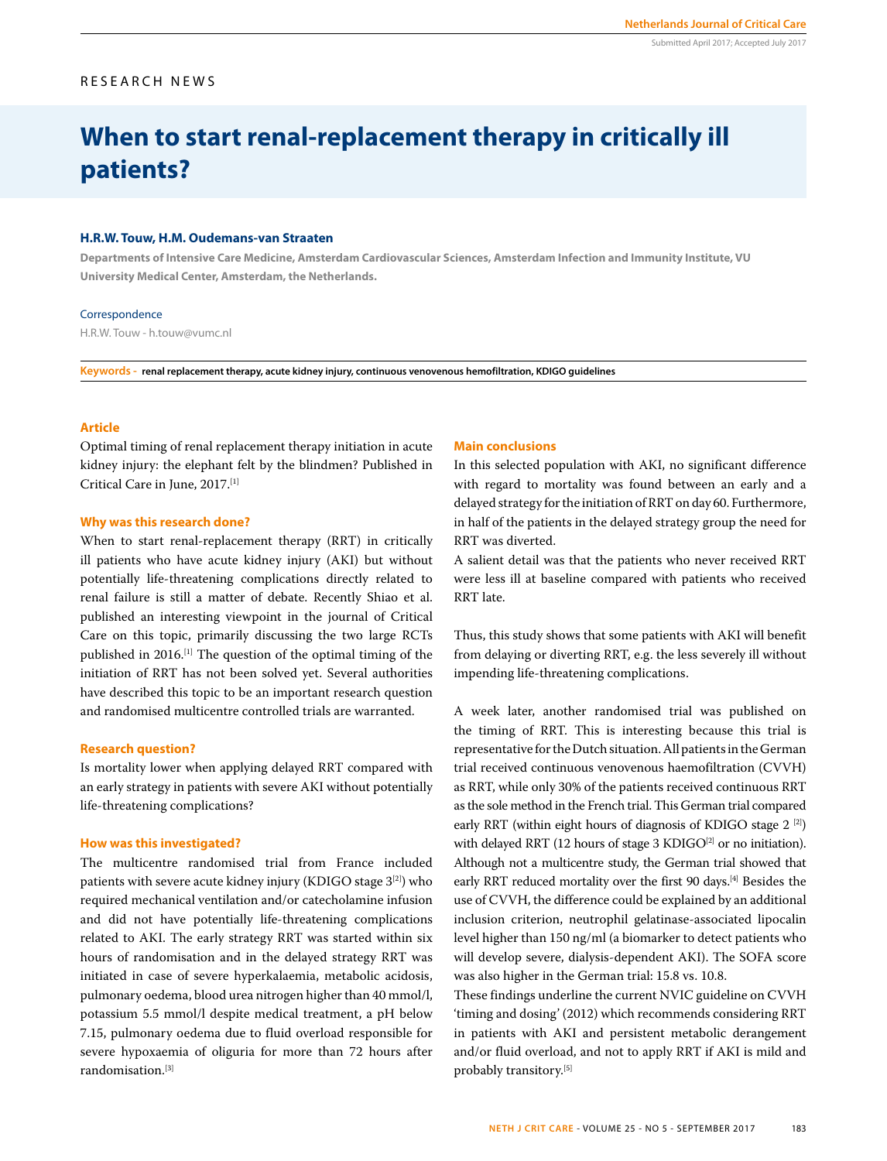#### Submitted April 2017; Accepted July 2017

# RESEARCH NEWS

# **When to start renal-replacement therapy in critically ill patients?**

#### **H.R.W. Touw, H.M. Oudemans-van Straaten**

**Departments of Intensive Care Medicine, Amsterdam Cardiovascular Sciences, Amsterdam Infection and Immunity Institute, VU University Medical Center, Amsterdam, the Netherlands.** 

#### Correspondence

H.R.W. Touw - h.touw@vumc.nl

**Keywords - renal replacement therapy, acute kidney injury, continuous venovenous hemofiltration, KDIGO guidelines**

## **Article**

Optimal timing of renal replacement therapy initiation in acute kidney injury: the elephant felt by the blindmen? Published in Critical Care in June, 2017.[1]

## **Why was this research done?**

When to start renal-replacement therapy (RRT) in critically ill patients who have acute kidney injury (AKI) but without potentially life-threatening complications directly related to renal failure is still a matter of debate. Recently Shiao et al. published an interesting viewpoint in the journal of Critical Care on this topic, primarily discussing the two large RCTs published in 2016.[1] The question of the optimal timing of the initiation of RRT has not been solved yet. Several authorities have described this topic to be an important research question and randomised multicentre controlled trials are warranted.

#### **Research question?**

Is mortality lower when applying delayed RRT compared with an early strategy in patients with severe AKI without potentially life-threatening complications?

#### **How was this investigated?**

The multicentre randomised trial from France included patients with severe acute kidney injury (KDIGO stage 3[2]) who required mechanical ventilation and/or catecholamine infusion and did not have potentially life-threatening complications related to AKI. The early strategy RRT was started within six hours of randomisation and in the delayed strategy RRT was initiated in case of severe hyperkalaemia, metabolic acidosis, pulmonary oedema, blood urea nitrogen higher than 40 mmol/l, potassium 5.5 mmol/l despite medical treatment, a pH below 7.15, pulmonary oedema due to fluid overload responsible for severe hypoxaemia of oliguria for more than 72 hours after randomisation.[3]

#### **Main conclusions**

In this selected population with AKI, no significant difference with regard to mortality was found between an early and a delayed strategy for the initiation of RRT on day 60. Furthermore, in half of the patients in the delayed strategy group the need for RRT was diverted.

A salient detail was that the patients who never received RRT were less ill at baseline compared with patients who received RRT late.

Thus, this study shows that some patients with AKI will benefit from delaying or diverting RRT, e.g. the less severely ill without impending life-threatening complications.

A week later, another randomised trial was published on the timing of RRT. This is interesting because this trial is representative for the Dutch situation. All patients in the German trial received continuous venovenous haemofiltration (CVVH) as RRT, while only 30% of the patients received continuous RRT as the sole method in the French trial. This German trial compared early RRT (within eight hours of diagnosis of KDIGO stage 2<sup>[2]</sup>) with delayed RRT (12 hours of stage 3 KDIGO $[2]$  or no initiation). Although not a multicentre study, the German trial showed that early RRT reduced mortality over the first 90 days.<sup>[4]</sup> Besides the use of CVVH, the difference could be explained by an additional inclusion criterion, neutrophil gelatinase-associated lipocalin level higher than 150 ng/ml (a biomarker to detect patients who will develop severe, dialysis-dependent AKI). The SOFA score was also higher in the German trial: 15.8 vs. 10.8.

These findings underline the current NVIC guideline on CVVH 'timing and dosing' (2012) which recommends considering RRT in patients with AKI and persistent metabolic derangement and/or fluid overload, and not to apply RRT if AKI is mild and probably transitory.[5]